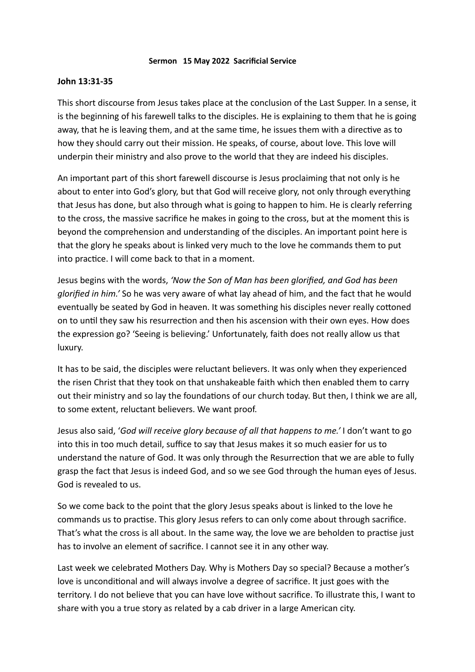## **Sermon 15 May 2022 Sacrificial Service**

## **John 13:31-35**

This short discourse from Jesus takes place at the conclusion of the Last Supper. In a sense, it is the beginning of his farewell talks to the disciples. He is explaining to them that he is going away, that he is leaving them, and at the same time, he issues them with a directive as to how they should carry out their mission. He speaks, of course, about love. This love will underpin their ministry and also prove to the world that they are indeed his disciples.

An important part of this short farewell discourse is Jesus proclaiming that not only is he about to enter into God's glory, but that God will receive glory, not only through everything that Jesus has done, but also through what is going to happen to him. He is clearly referring to the cross, the massive sacrifice he makes in going to the cross, but at the moment this is beyond the comprehension and understanding of the disciples. An important point here is that the glory he speaks about is linked very much to the love he commands them to put into practice. I will come back to that in a moment.

Jesus begins with the words, *'Now the Son of Man has been glorified, and God has been glorified in him.'* So he was very aware of what lay ahead of him, and the fact that he would eventually be seated by God in heaven. It was something his disciples never really cottoned on to until they saw his resurrection and then his ascension with their own eyes. How does the expression go? 'Seeing is believing.' Unfortunately, faith does not really allow us that luxury.

It has to be said, the disciples were reluctant believers. It was only when they experienced the risen Christ that they took on that unshakeable faith which then enabled them to carry out their ministry and so lay the foundations of our church today. But then, I think we are all, to some extent, reluctant believers. We want proof.

Jesus also said, '*God will receive glory because of all that happens to me.'* I don't want to go into this in too much detail, suffice to say that Jesus makes it so much easier for us to understand the nature of God. It was only through the Resurrection that we are able to fully grasp the fact that Jesus is indeed God, and so we see God through the human eyes of Jesus. God is revealed to us.

So we come back to the point that the glory Jesus speaks about is linked to the love he commands us to practise. This glory Jesus refers to can only come about through sacrifice. That's what the cross is all about. In the same way, the love we are beholden to practise just has to involve an element of sacrifice. I cannot see it in any other way.

Last week we celebrated Mothers Day. Why is Mothers Day so special? Because a mother's love is unconditional and will always involve a degree of sacrifice. It just goes with the territory. I do not believe that you can have love without sacrifice. To illustrate this, I want to share with you a true story as related by a cab driver in a large American city.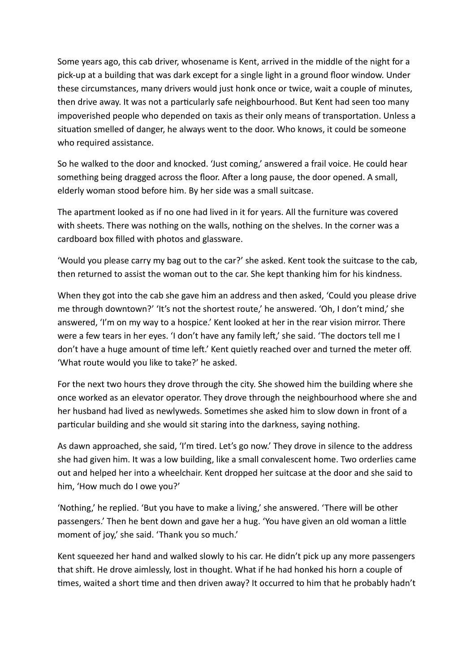Some years ago, this cab driver, whosename is Kent, arrived in the middle of the night for a pick-up at a building that was dark except for a single light in a ground floor window. Under these circumstances, many drivers would just honk once or twice, wait a couple of minutes, then drive away. It was not a particularly safe neighbourhood. But Kent had seen too many impoverished people who depended on taxis as their only means of transportation. Unless a situation smelled of danger, he always went to the door. Who knows, it could be someone who required assistance.

So he walked to the door and knocked. 'Just coming,' answered a frail voice. He could hear something being dragged across the floor. After a long pause, the door opened. A small, elderly woman stood before him. By her side was a small suitcase.

The apartment looked as if no one had lived in it for years. All the furniture was covered with sheets. There was nothing on the walls, nothing on the shelves. In the corner was a cardboard box filled with photos and glassware.

'Would you please carry my bag out to the car?' she asked. Kent took the suitcase to the cab, then returned to assist the woman out to the car. She kept thanking him for his kindness.

When they got into the cab she gave him an address and then asked, 'Could you please drive me through downtown?' 'It's not the shortest route,' he answered. 'Oh, I don't mind,' she answered, 'I'm on my way to a hospice.' Kent looked at her in the rear vision mirror. There were a few tears in her eyes. 'I don't have any family left,' she said. 'The doctors tell me I don't have a huge amount of time left.' Kent quietly reached over and turned the meter off. 'What route would you like to take?' he asked.

For the next two hours they drove through the city. She showed him the building where she once worked as an elevator operator. They drove through the neighbourhood where she and her husband had lived as newlyweds. Sometimes she asked him to slow down in front of a particular building and she would sit staring into the darkness, saying nothing.

As dawn approached, she said, 'I'm tired. Let's go now.' They drove in silence to the address she had given him. It was a low building, like a small convalescent home. Two orderlies came out and helped her into a wheelchair. Kent dropped her suitcase at the door and she said to him, 'How much do I owe you?'

'Nothing,' he replied. 'But you have to make a living,' she answered. 'There will be other passengers.' Then he bent down and gave her a hug. 'You have given an old woman a little moment of joy,' she said. 'Thank you so much.'

Kent squeezed her hand and walked slowly to his car. He didn't pick up any more passengers that shift. He drove aimlessly, lost in thought. What if he had honked his horn a couple of times, waited a short time and then driven away? It occurred to him that he probably hadn't